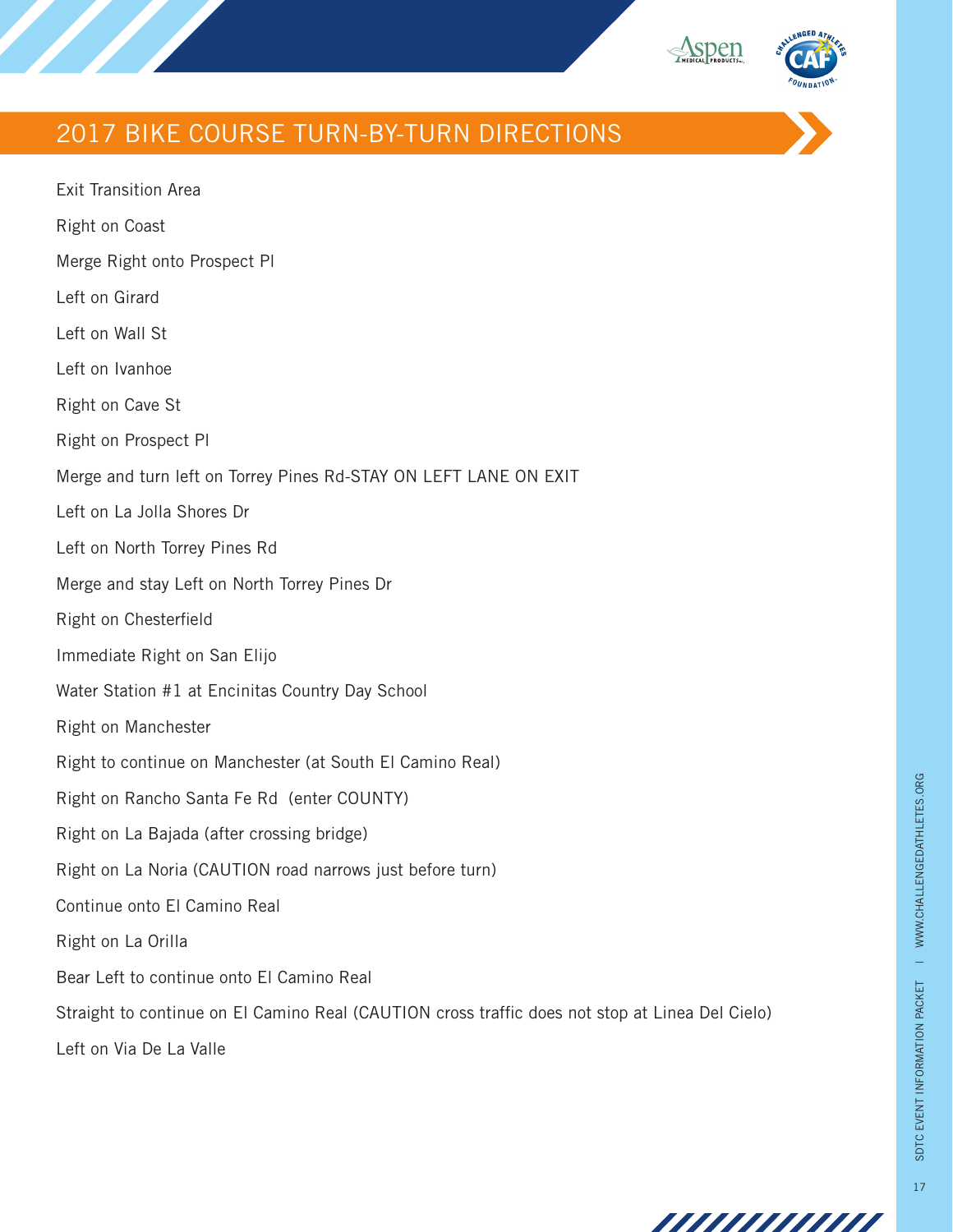

## 2017 BIKE COURSE TURN-BY-TURN DIRECTIONS

Exit Transition Area Right on Coast Merge Right onto Prospect Pl Left on Girard Left on Wall St Left on Ivanhoe Right on Cave St Right on Prospect Pl Merge and turn left on Torrey Pines Rd-STAY ON LEFT LANE ON EXIT Left on La Jolla Shores Dr Left on North Torrey Pines Rd Merge and stay Left on North Torrey Pines Dr Right on Chesterfield Immediate Right on San Elijo Water Station #1 at Encinitas Country Day School Right on Manchester Right to continue on Manchester (at South El Camino Real) Right on Rancho Santa Fe Rd (enter COUNTY) Right on La Bajada (after crossing bridge) Right on La Noria (CAUTION road narrows just before turn) Continue onto El Camino Real Right on La Orilla Bear Left to continue onto El Camino Real Straight to continue on El Camino Real (CAUTION cross traffic does not stop at Linea Del Cielo) Left on Via De La Valle